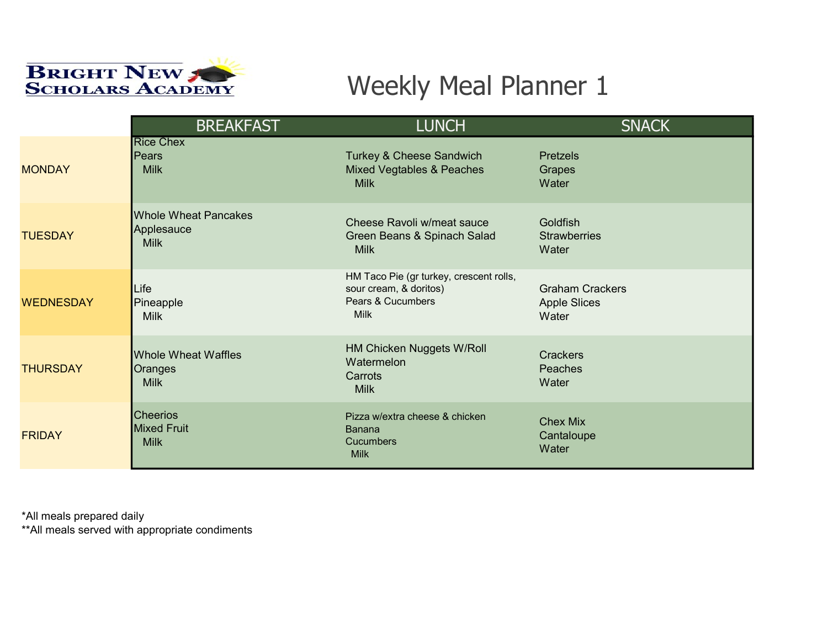

|                  | <b>BREAKFAST</b>                                         | <b>LUNCH</b>                                                                                          | <b>SNACK</b>                                           |
|------------------|----------------------------------------------------------|-------------------------------------------------------------------------------------------------------|--------------------------------------------------------|
| <b>MONDAY</b>    | <b>Rice Chex</b><br><b>Pears</b><br><b>Milk</b>          | <b>Turkey &amp; Cheese Sandwich</b><br><b>Mixed Vegtables &amp; Peaches</b><br><b>Milk</b>            | <b>Pretzels</b><br>Grapes<br>Water                     |
| <b>TUESDAY</b>   | <b>Whole Wheat Pancakes</b><br>Applesauce<br><b>Milk</b> | Cheese Ravoli w/meat sauce<br>Green Beans & Spinach Salad<br><b>Milk</b>                              | Goldfish<br><b>Strawberries</b><br>Water               |
| <b>WEDNESDAY</b> | Life<br>Pineapple<br><b>Milk</b>                         | HM Taco Pie (gr turkey, crescent rolls,<br>sour cream, & doritos)<br>Pears & Cucumbers<br><b>Milk</b> | <b>Graham Crackers</b><br><b>Apple Slices</b><br>Water |
| <b>THURSDAY</b>  | <b>Whole Wheat Waffles</b><br>Oranges<br><b>Milk</b>     | HM Chicken Nuggets W/Roll<br>Watermelon<br>Carrots<br><b>Milk</b>                                     | <b>Crackers</b><br>Peaches<br>Water                    |
| <b>FRIDAY</b>    | <b>Cheerios</b><br><b>Mixed Fruit</b><br><b>Milk</b>     | Pizza w/extra cheese & chicken<br>Banana<br><b>Cucumbers</b><br><b>Milk</b>                           | <b>Chex Mix</b><br>Cantaloupe<br>Water                 |

\*All meals prepared daily

\*\*All meals served with appropriate condiments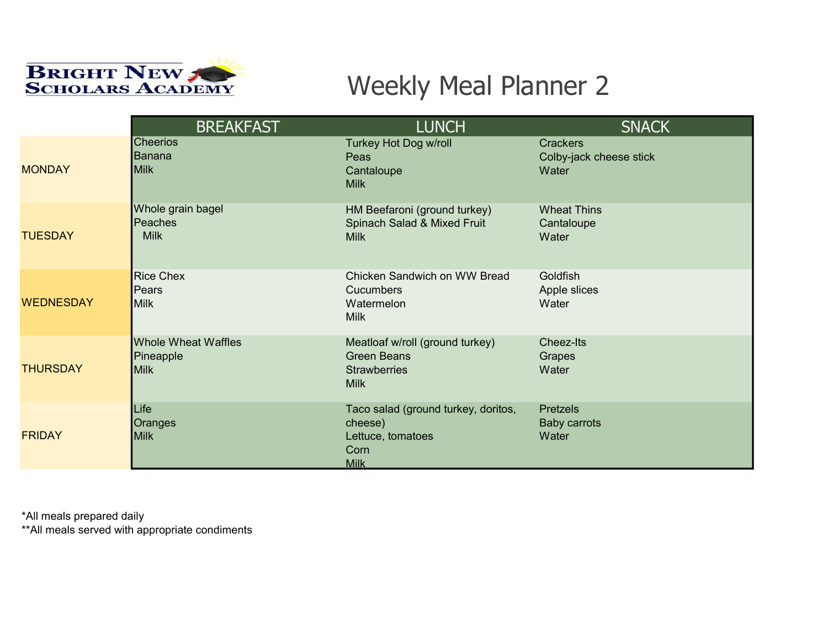

|                  | <b>BREAKFAST</b>                                       | <b>LUNCH</b>                                                                                | <b>SNACK</b>                                        |
|------------------|--------------------------------------------------------|---------------------------------------------------------------------------------------------|-----------------------------------------------------|
| <b>MONDAY</b>    | <b>Cheerios</b><br>Banana<br><b>Milk</b>               | <b>Turkey Hot Dog w/roll</b><br>Peas<br>Cantaloupe<br><b>Milk</b>                           | <b>Crackers</b><br>Colby-jack cheese stick<br>Water |
| <b>TUESDAY</b>   | Whole grain bagel<br>Peaches<br><b>Milk</b>            | HM Beefaroni (ground turkey)<br>Spinach Salad & Mixed Fruit<br><b>Milk</b>                  | <b>Wheat Thins</b><br>Cantaloupe<br>Water           |
| <b>WEDNESDAY</b> | <b>Rice Chex</b><br>Pears<br><b>Milk</b>               | Chicken Sandwich on WW Bread<br><b>Cucumbers</b><br>Watermelon<br><b>Milk</b>               | Goldfish<br>Apple slices<br>Water                   |
| <b>THURSDAY</b>  | <b>Whole Wheat Waffles</b><br>Pineapple<br><b>Milk</b> | Meatloaf w/roll (ground turkey)<br><b>Green Beans</b><br><b>Strawberries</b><br><b>Milk</b> | <b>Cheez-Its</b><br>Grapes<br>Water                 |
| <b>FRIDAY</b>    | Life<br>Oranges<br><b>Milk</b>                         | Taco salad (ground turkey, doritos,<br>cheese)<br>Lettuce, tomatoes<br>Corn<br><b>Milk</b>  | Pretzels<br><b>Baby carrots</b><br>Water            |

\*All meals prepared daily

\*\*All meals served with appropriate condiments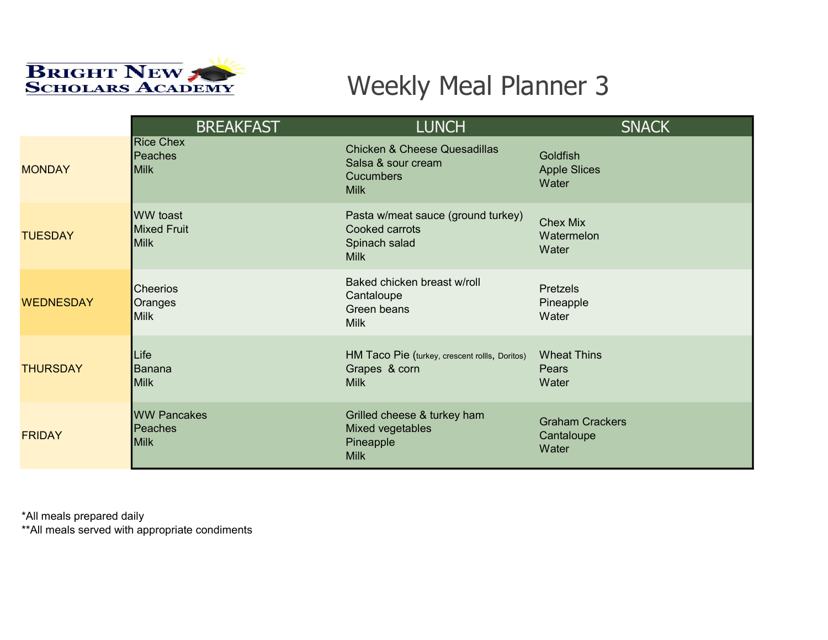

|                  | <b>BREAKFAST</b>                                     | <b>LUNCH</b>                                                                                     | <b>SNACK</b>                                  |
|------------------|------------------------------------------------------|--------------------------------------------------------------------------------------------------|-----------------------------------------------|
| <b>MONDAY</b>    | <b>Rice Chex</b><br>Peaches<br><b>Milk</b>           | <b>Chicken &amp; Cheese Quesadillas</b><br>Salsa & sour cream<br><b>Cucumbers</b><br><b>Milk</b> | Goldfish<br><b>Apple Slices</b><br>Water      |
| <b>TUESDAY</b>   | <b>WW</b> toast<br><b>Mixed Fruit</b><br><b>Milk</b> | Pasta w/meat sauce (ground turkey)<br>Cooked carrots<br>Spinach salad<br><b>Milk</b>             | <b>Chex Mix</b><br>Watermelon<br>Water        |
| <b>WEDNESDAY</b> | <b>Cheerios</b><br>Oranges<br><b>Milk</b>            | Baked chicken breast w/roll<br>Cantaloupe<br>Green beans<br><b>Milk</b>                          | <b>Pretzels</b><br>Pineapple<br>Water         |
| <b>THURSDAY</b>  | Life<br>Banana<br><b>Milk</b>                        | HM Taco Pie (turkey, crescent rollls, Doritos)<br>Grapes & corn<br><b>Milk</b>                   | <b>Wheat Thins</b><br>Pears<br>Water          |
| <b>FRIDAY</b>    | <b>WW Pancakes</b><br><b>Peaches</b><br><b>Milk</b>  | Grilled cheese & turkey ham<br>Mixed vegetables<br>Pineapple<br><b>Milk</b>                      | <b>Graham Crackers</b><br>Cantaloupe<br>Water |

\*All meals prepared daily

\*\*All meals served with appropriate condiments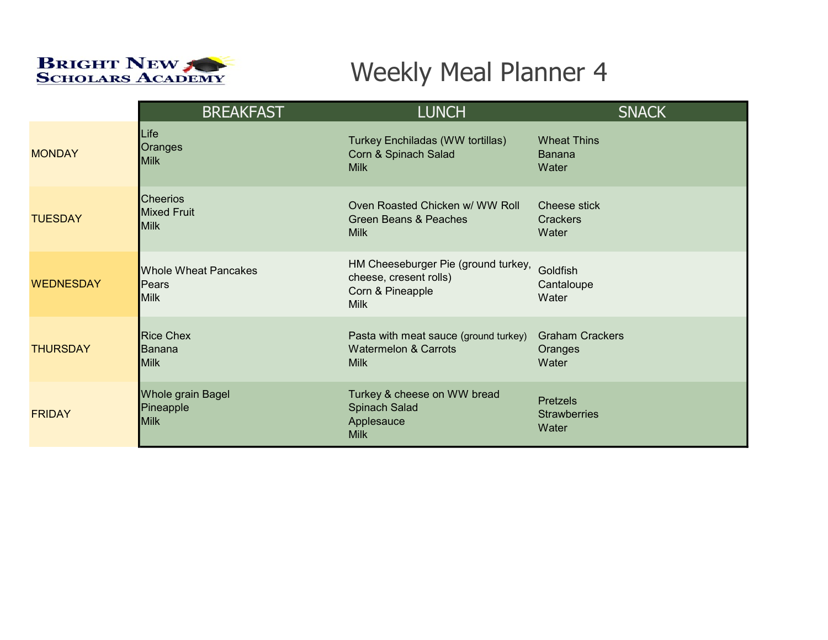

|                  | <b>BREAKFAST</b>                                    | <b>LUNCH</b>                                                                                     | <b>SNACK</b>                                    |
|------------------|-----------------------------------------------------|--------------------------------------------------------------------------------------------------|-------------------------------------------------|
| <b>MONDAY</b>    | Life                                                | Turkey Enchiladas (WW tortillas)                                                                 | <b>Wheat Thins</b>                              |
|                  | Oranges                                             | Corn & Spinach Salad                                                                             | <b>Banana</b>                                   |
|                  | Milk                                                | <b>Milk</b>                                                                                      | Water                                           |
| <b>TUESDAY</b>   | <b>Cheerios</b>                                     | Oven Roasted Chicken w/ WW Roll                                                                  | Cheese stick                                    |
|                  | <b>Mixed Fruit</b>                                  | Green Beans & Peaches                                                                            | Crackers                                        |
|                  | <b>Milk</b>                                         | <b>Milk</b>                                                                                      | Water                                           |
| <b>WEDNESDAY</b> | <b>Whole Wheat Pancakes</b><br>Pears<br><b>Milk</b> | HM Cheeseburger Pie (ground turkey,<br>cheese, cresent rolls)<br>Corn & Pineapple<br><b>Milk</b> | Goldfish<br>Cantaloupe<br>Water                 |
| <b>THURSDAY</b>  | <b>Rice Chex</b>                                    | Pasta with meat sauce (ground turkey)                                                            | <b>Graham Crackers</b>                          |
|                  | lBanana                                             | <b>Watermelon &amp; Carrots</b>                                                                  | Oranges                                         |
|                  | <b>Milk</b>                                         | <b>Milk</b>                                                                                      | Water                                           |
| <b>FRIDAY</b>    | <b>Whole grain Bagel</b><br>Pineapple<br>Milk       | Turkey & cheese on WW bread<br>Spinach Salad<br>Applesauce<br><b>Milk</b>                        | <b>Pretzels</b><br><b>Strawberries</b><br>Water |